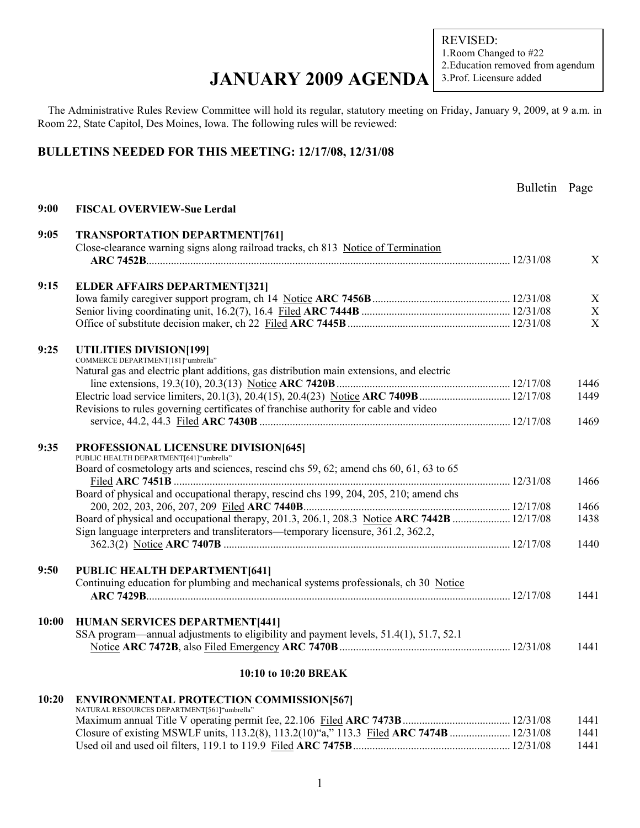REVISED: 1.Room Changed to #22 2.Education removed from agendum 3.Prof. Licensure added

### **JANUARY 2009 AGENDA**

The Administrative Rules Review Committee will hold its regular, statutory meeting on Friday, January 9, 2009, at 9 a.m. in Room 22, State Capitol, Des Moines, Iowa. The following rules will be reviewed:

#### **BULLETINS NEEDED FOR THIS MEETING: 12/17/08, 12/31/08**

|       |                                                                                            | Bulletin Page |      |
|-------|--------------------------------------------------------------------------------------------|---------------|------|
| 9:00  | <b>FISCAL OVERVIEW-Sue Lerdal</b>                                                          |               |      |
| 9:05  | <b>TRANSPORTATION DEPARTMENT[761]</b>                                                      |               |      |
|       | Close-clearance warning signs along railroad tracks, ch 813 Notice of Termination          |               |      |
|       |                                                                                            |               | X    |
| 9:15  | <b>ELDER AFFAIRS DEPARTMENT[321]</b>                                                       |               |      |
|       |                                                                                            |               | X    |
|       |                                                                                            |               | X    |
|       |                                                                                            |               | X    |
|       |                                                                                            |               |      |
| 9:25  | UTILITIES DIVISION[199]<br>COMMERCE DEPARTMENT[181]"umbrella"                              |               |      |
|       | Natural gas and electric plant additions, gas distribution main extensions, and electric   |               |      |
|       |                                                                                            |               | 1446 |
|       | Electric load service limiters, 20.1(3), 20.4(15), 20.4(23) Notice ARC 7409B  12/17/08     |               | 1449 |
|       | Revisions to rules governing certificates of franchise authority for cable and video       |               |      |
|       |                                                                                            |               | 1469 |
|       |                                                                                            |               |      |
| 9:35  | PROFESSIONAL LICENSURE DIVISION[645]<br>PUBLIC HEALTH DEPARTMENT[641]"umbrella"            |               |      |
|       | Board of cosmetology arts and sciences, rescind chs 59, 62; amend chs 60, 61, 63 to 65     |               |      |
|       |                                                                                            |               | 1466 |
|       | Board of physical and occupational therapy, rescind chs 199, 204, 205, 210; amend chs      |               |      |
|       |                                                                                            |               | 1466 |
|       | Board of physical and occupational therapy, 201.3, 206.1, 208.3 Notice ARC 7442B  12/17/08 |               | 1438 |
|       | Sign language interpreters and transliterators—temporary licensure, 361.2, 362.2,          |               |      |
|       |                                                                                            |               | 1440 |
|       |                                                                                            |               |      |
| 9:50  | PUBLIC HEALTH DEPARTMENT[641]                                                              |               |      |
|       | Continuing education for plumbing and mechanical systems professionals, ch 30 Notice       |               |      |
|       |                                                                                            |               | 1441 |
| 10:00 | <b>HUMAN SERVICES DEPARTMENT[441]</b>                                                      |               |      |
|       | SSA program—annual adjustments to eligibility and payment levels, 51.4(1), 51.7, 52.1      |               |      |
|       |                                                                                            |               | 1441 |
|       |                                                                                            |               |      |
|       | 10:10 to 10:20 BREAK                                                                       |               |      |
| 10:20 | <b>ENVIRONMENTAL PROTECTION COMMISSION[567]</b>                                            |               |      |
|       | NATURAL RESOURCES DEPARTMENT[561]"umbrella"                                                |               | 1441 |
|       | Closure of existing MSWLF units, 113.2(8), 113.2(10)"a," 113.3 Filed ARC 7474B  12/31/08   |               | 1441 |
|       |                                                                                            |               | 1441 |
|       |                                                                                            |               |      |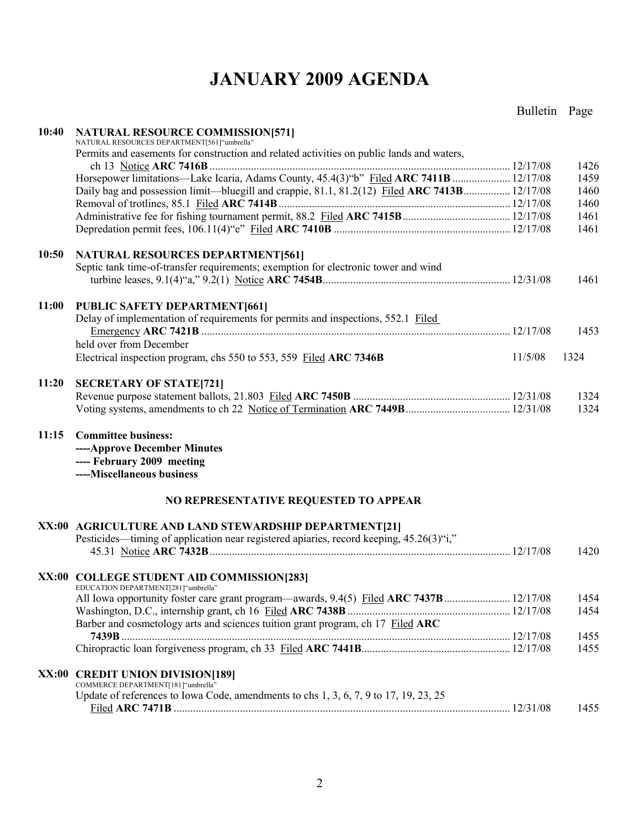## **JANUARY 2009 AGENDA**

### Bulletin Page

| 10:40 | <b>NATURAL RESOURCE COMMISSION[571]</b><br>NATURAL RESOURCES DEPARTMENT[561]"umbrella"                                     |         |              |
|-------|----------------------------------------------------------------------------------------------------------------------------|---------|--------------|
|       | Permits and easements for construction and related activities on public lands and waters,                                  |         |              |
|       |                                                                                                                            |         | 1426         |
|       | Horsepower limitations—Lake Icaria, Adams County, 45.4(3)"b" Filed ARC 7411B  12/17/08                                     |         | 1459<br>1460 |
|       | Daily bag and possession limit—bluegill and crappie, 81.1, 81.2(12) Filed ARC 7413B 12/17/08                               |         | 1460         |
|       |                                                                                                                            |         | 1461         |
|       |                                                                                                                            |         | 1461         |
| 10:50 | <b>NATURAL RESOURCES DEPARTMENT[561]</b>                                                                                   |         |              |
|       | Septic tank time-of-transfer requirements; exemption for electronic tower and wind                                         |         |              |
|       |                                                                                                                            |         | 1461         |
| 11:00 | <b>PUBLIC SAFETY DEPARTMENT[661]</b>                                                                                       |         |              |
|       | Delay of implementation of requirements for permits and inspections, 552.1 Filed                                           |         |              |
|       | held over from December                                                                                                    |         | 1453         |
|       | Electrical inspection program, chs 550 to 553, 559 Filed ARC 7346B                                                         | 11/5/08 | 1324         |
| 11:20 |                                                                                                                            |         |              |
|       | <b>SECRETARY OF STATE[721]</b>                                                                                             |         | 1324         |
|       |                                                                                                                            |         | 1324         |
| 11:15 | <b>Committee business:</b><br>----Approve December Minutes<br>---- February 2009 meeting<br>----Miscellaneous business     |         |              |
|       | NO REPRESENTATIVE REQUESTED TO APPEAR                                                                                      |         |              |
|       | XX:00 AGRICULTURE AND LAND STEWARDSHIP DEPARTMENT[21]                                                                      |         |              |
|       | Pesticides—timing of application near registered apiaries, record keeping, 45.26(3)"i,"                                    |         |              |
|       |                                                                                                                            |         | 1420         |
|       | XX:00 COLLEGE STUDENT AID COMMISSION[283]<br>EDUCATION DEPARTMENT[281]"umbrella"                                           |         |              |
|       | All Iowa opportunity foster care grant program—awards, 9.4(5) Filed ARC 7437B  12/17/08                                    |         | 1454         |
|       |                                                                                                                            |         | 1454         |
|       | Barber and cosmetology arts and sciences tuition grant program, ch 17 Filed ARC                                            |         |              |
|       |                                                                                                                            |         | 1455         |
|       |                                                                                                                            |         | 1455         |
|       | XX:00 CREDIT UNION DIVISION[189]                                                                                           |         |              |
|       | COMMERCE DEPARTMENT[181]"umbrella"<br>Update of references to Iowa Code, amendments to chs 1, 3, 6, 7, 9 to 17, 19, 23, 25 |         |              |
|       |                                                                                                                            |         | 1455         |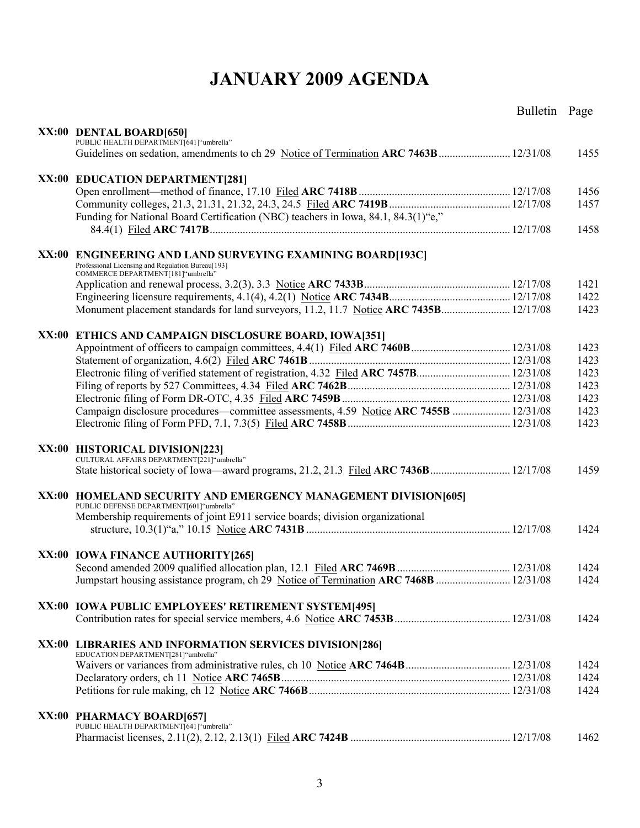## **JANUARY 2009 AGENDA**

|                                                                                                             | Bulletin Page |      |
|-------------------------------------------------------------------------------------------------------------|---------------|------|
|                                                                                                             |               |      |
| XX:00 DENTAL BOARD[650]<br>PUBLIC HEALTH DEPARTMENT[641] "umbrella"                                         |               |      |
|                                                                                                             |               | 1455 |
|                                                                                                             |               |      |
| XX:00 EDUCATION DEPARTMENT[281]                                                                             |               |      |
|                                                                                                             |               | 1456 |
|                                                                                                             |               | 1457 |
| Funding for National Board Certification (NBC) teachers in Iowa, 84.1, 84.3(1)"e,"                          |               |      |
|                                                                                                             |               | 1458 |
|                                                                                                             |               |      |
| XX:00 ENGINEERING AND LAND SURVEYING EXAMINING BOARD[193C]                                                  |               |      |
| Professional Licensing and Regulation Bureau[193]                                                           |               |      |
| COMMERCE DEPARTMENT[181]"umbrella"                                                                          |               |      |
|                                                                                                             |               | 1421 |
|                                                                                                             |               | 1422 |
|                                                                                                             |               | 1423 |
|                                                                                                             |               |      |
| XX:00 ETHICS AND CAMPAIGN DISCLOSURE BOARD, IOWA[351]                                                       |               |      |
|                                                                                                             |               | 1423 |
|                                                                                                             |               | 1423 |
| Electronic filing of verified statement of registration, 4.32 Filed ARC 7457B 12/31/08                      |               | 1423 |
|                                                                                                             |               | 1423 |
|                                                                                                             |               | 1423 |
| Campaign disclosure procedures—committee assessments, 4.59 Notice ARC 7455B  12/31/08                       |               | 1423 |
|                                                                                                             |               | 1423 |
|                                                                                                             |               |      |
| XX:00 HISTORICAL DIVISION[223]                                                                              |               |      |
| CULTURAL AFFAIRS DEPARTMENT[221] "umbrella"                                                                 |               |      |
|                                                                                                             |               | 1459 |
|                                                                                                             |               |      |
| XX:00 HOMELAND SECURITY AND EMERGENCY MANAGEMENT DIVISION[605]<br>PUBLIC DEFENSE DEPARTMENT[601] "umbrella" |               |      |
| Membership requirements of joint E911 service boards; division organizational                               |               |      |
|                                                                                                             |               | 1424 |
|                                                                                                             |               |      |
| XX:00 IOWA FINANCE AUTHORITY [265]                                                                          |               |      |
|                                                                                                             |               | 1424 |
| Jumpstart housing assistance program, ch 29 Notice of Termination ARC 7468B  12/31/08                       |               | 1424 |
|                                                                                                             |               |      |
| XX:00 IOWA PUBLIC EMPLOYEES' RETIREMENT SYSTEM[495]                                                         |               |      |
|                                                                                                             |               | 1424 |
|                                                                                                             |               |      |
| XX:00 LIBRARIES AND INFORMATION SERVICES DIVISION[286]                                                      |               |      |
| EDUCATION DEPARTMENT[281]"umbrella"                                                                         |               |      |
|                                                                                                             |               | 1424 |
|                                                                                                             |               | 1424 |
|                                                                                                             |               | 1424 |
|                                                                                                             |               |      |
| XX:00 PHARMACY BOARD[657]                                                                                   |               |      |
| PUBLIC HEALTH DEPARTMENT[641] "umbrella"                                                                    |               |      |
|                                                                                                             |               | 1462 |